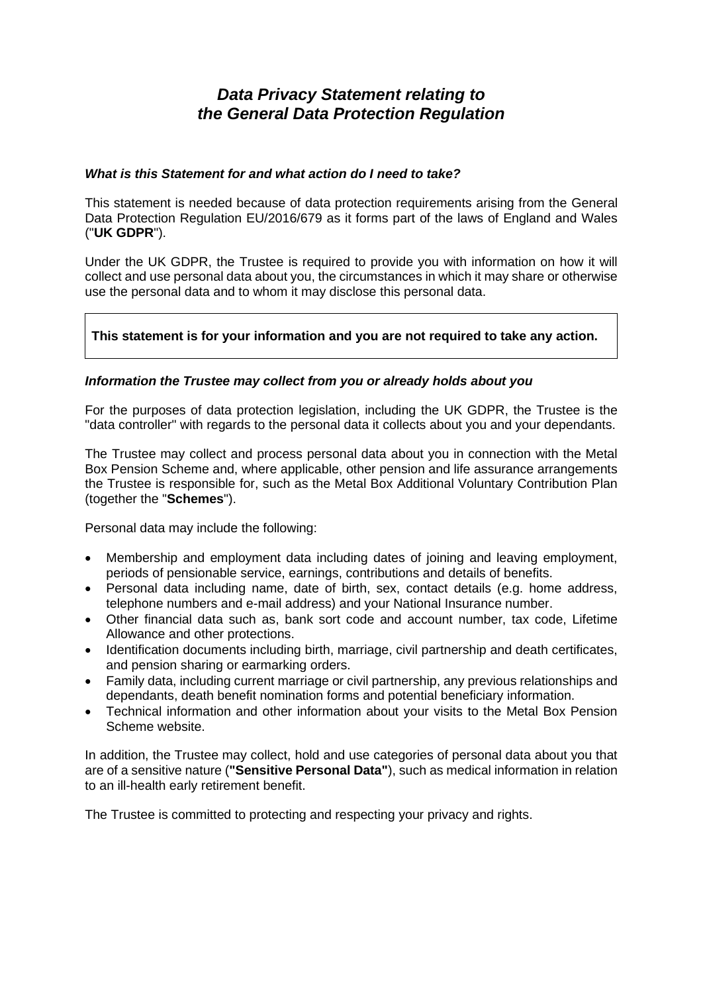# *Data Privacy Statement relating to the General Data Protection Regulation*

#### *What is this Statement for and what action do I need to take?*

This statement is needed because of data protection requirements arising from the General Data Protection Regulation EU/2016/679 as it forms part of the laws of England and Wales ("**UK GDPR**").

Under the UK GDPR, the Trustee is required to provide you with information on how it will collect and use personal data about you, the circumstances in which it may share or otherwise use the personal data and to whom it may disclose this personal data.

# **This statement is for your information and you are not required to take any action.**

## *Information the Trustee may collect from you or already holds about you*

For the purposes of data protection legislation, including the UK GDPR, the Trustee is the "data controller" with regards to the personal data it collects about you and your dependants.

The Trustee may collect and process personal data about you in connection with the Metal Box Pension Scheme and, where applicable, other pension and life assurance arrangements the Trustee is responsible for, such as the Metal Box Additional Voluntary Contribution Plan (together the "**Schemes**").

Personal data may include the following:

- Membership and employment data including dates of joining and leaving employment, periods of pensionable service, earnings, contributions and details of benefits.
- Personal data including name, date of birth, sex, contact details (e.g. home address, telephone numbers and e-mail address) and your National Insurance number.
- Other financial data such as, bank sort code and account number, tax code, Lifetime Allowance and other protections.
- Identification documents including birth, marriage, civil partnership and death certificates, and pension sharing or earmarking orders.
- Family data, including current marriage or civil partnership, any previous relationships and dependants, death benefit nomination forms and potential beneficiary information.
- Technical information and other information about your visits to the Metal Box Pension Scheme website.

In addition, the Trustee may collect, hold and use categories of personal data about you that are of a sensitive nature (**"Sensitive Personal Data"**), such as medical information in relation to an ill-health early retirement benefit.

The Trustee is committed to protecting and respecting your privacy and rights.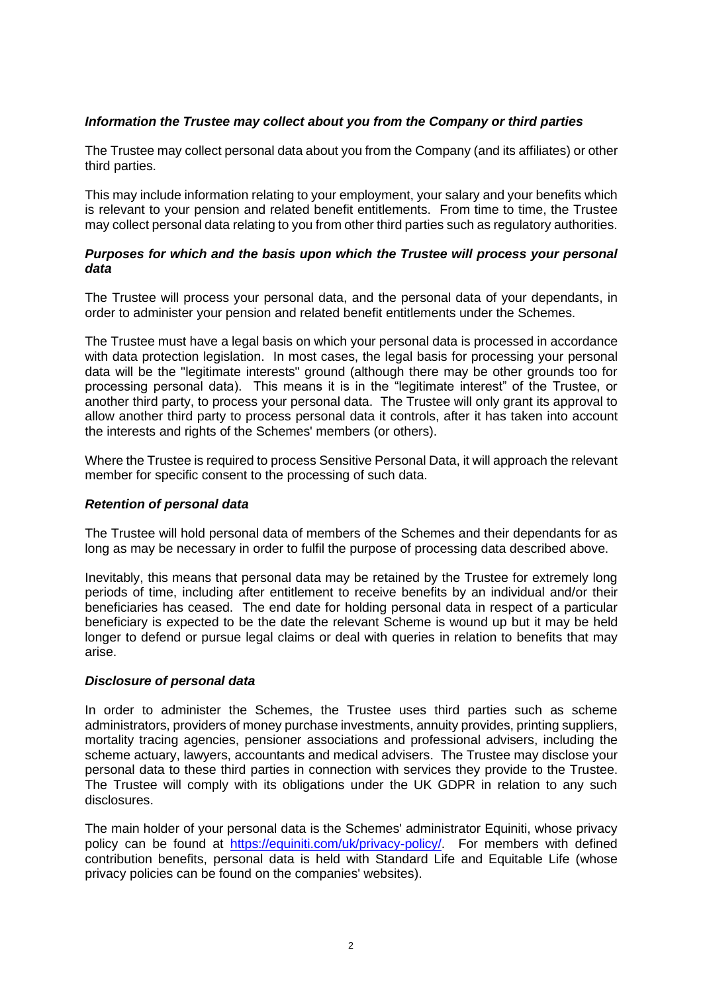# *Information the Trustee may collect about you from the Company or third parties*

The Trustee may collect personal data about you from the Company (and its affiliates) or other third parties.

This may include information relating to your employment, your salary and your benefits which is relevant to your pension and related benefit entitlements. From time to time, the Trustee may collect personal data relating to you from other third parties such as regulatory authorities.

## *Purposes for which and the basis upon which the Trustee will process your personal data*

The Trustee will process your personal data, and the personal data of your dependants, in order to administer your pension and related benefit entitlements under the Schemes.

The Trustee must have a legal basis on which your personal data is processed in accordance with data protection legislation. In most cases, the legal basis for processing your personal data will be the "legitimate interests" ground (although there may be other grounds too for processing personal data). This means it is in the "legitimate interest" of the Trustee, or another third party, to process your personal data. The Trustee will only grant its approval to allow another third party to process personal data it controls, after it has taken into account the interests and rights of the Schemes' members (or others).

Where the Trustee is required to process Sensitive Personal Data, it will approach the relevant member for specific consent to the processing of such data.

#### *Retention of personal data*

The Trustee will hold personal data of members of the Schemes and their dependants for as long as may be necessary in order to fulfil the purpose of processing data described above.

Inevitably, this means that personal data may be retained by the Trustee for extremely long periods of time, including after entitlement to receive benefits by an individual and/or their beneficiaries has ceased. The end date for holding personal data in respect of a particular beneficiary is expected to be the date the relevant Scheme is wound up but it may be held longer to defend or pursue legal claims or deal with queries in relation to benefits that may arise.

## *Disclosure of personal data*

In order to administer the Schemes, the Trustee uses third parties such as scheme administrators, providers of money purchase investments, annuity provides, printing suppliers, mortality tracing agencies, pensioner associations and professional advisers, including the scheme actuary, lawyers, accountants and medical advisers. The Trustee may disclose your personal data to these third parties in connection with services they provide to the Trustee. The Trustee will comply with its obligations under the UK GDPR in relation to any such disclosures.

The main holder of your personal data is the Schemes' administrator Equiniti, whose privacy policy can be found at [https://equiniti.com/uk/privacy-policy/.](https://equiniti.com/uk/privacy-policy/) For members with defined contribution benefits, personal data is held with Standard Life and Equitable Life (whose privacy policies can be found on the companies' websites).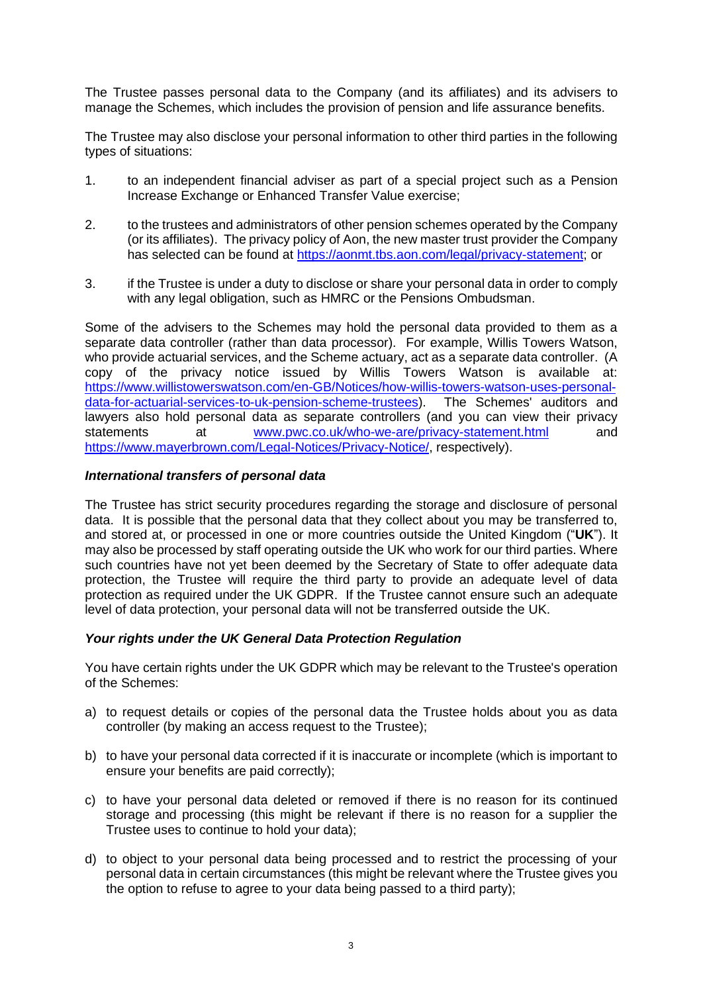The Trustee passes personal data to the Company (and its affiliates) and its advisers to manage the Schemes, which includes the provision of pension and life assurance benefits.

The Trustee may also disclose your personal information to other third parties in the following types of situations:

- 1. to an independent financial adviser as part of a special project such as a Pension Increase Exchange or Enhanced Transfer Value exercise;
- 2. to the trustees and administrators of other pension schemes operated by the Company (or its affiliates). The privacy policy of Aon, the new master trust provider the Company has selected can be found at [https://aonmt.tbs.aon.com/legal/privacy-statement;](https://aonmt.tbs.aon.com/legal/privacy-statement) or
- 3. if the Trustee is under a duty to disclose or share your personal data in order to comply with any legal obligation, such as HMRC or the Pensions Ombudsman.

Some of the advisers to the Schemes may hold the personal data provided to them as a separate data controller (rather than data processor). For example, Willis Towers Watson, who provide actuarial services, and the Scheme actuary, act as a separate data controller. (A copy of the privacy notice issued by Willis Towers Watson is available at: https://www.willistowerswatson.com/en-GB/Notices/how-willis-towers-watson-uses-personal-<br>data-for-actuarial-services-to-uk-pension-scheme-trustees). The Schemes' auditors and [data-for-actuarial-services-to-uk-pension-scheme-trustees\)](https://www.willistowerswatson.com/en-GB/Notices/how-willis-towers-watson-uses-personal-data-for-actuarial-services-to-uk-pension-scheme-trustees). lawyers also hold personal data as separate controllers (and you can view their privacy statements at [www.pwc.co.uk/who-we-are/privacy-statement.html](http://www.pwc.co.uk/who-we-are/privacy-statement.html) and [https://www.mayerbrown.com/Legal-Notices/Privacy-Notice/,](https://www.mayerbrown.com/Legal-Notices/Privacy-Notice/) respectively).

## *International transfers of personal data*

The Trustee has strict security procedures regarding the storage and disclosure of personal data. It is possible that the personal data that they collect about you may be transferred to, and stored at, or processed in one or more countries outside the United Kingdom ("**UK**"). It may also be processed by staff operating outside the UK who work for our third parties. Where such countries have not yet been deemed by the Secretary of State to offer adequate data protection, the Trustee will require the third party to provide an adequate level of data protection as required under the UK GDPR. If the Trustee cannot ensure such an adequate level of data protection, your personal data will not be transferred outside the UK.

#### *Your rights under the UK General Data Protection Regulation*

You have certain rights under the UK GDPR which may be relevant to the Trustee's operation of the Schemes:

- a) to request details or copies of the personal data the Trustee holds about you as data controller (by making an access request to the Trustee);
- b) to have your personal data corrected if it is inaccurate or incomplete (which is important to ensure your benefits are paid correctly);
- c) to have your personal data deleted or removed if there is no reason for its continued storage and processing (this might be relevant if there is no reason for a supplier the Trustee uses to continue to hold your data);
- d) to object to your personal data being processed and to restrict the processing of your personal data in certain circumstances (this might be relevant where the Trustee gives you the option to refuse to agree to your data being passed to a third party);